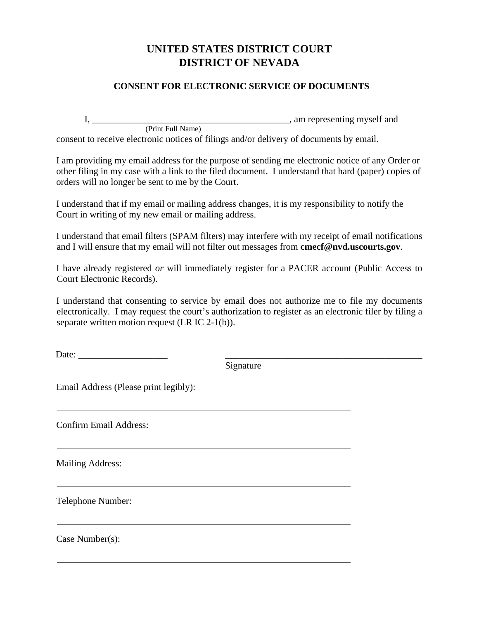## **UNITED STATES DISTRICT COURT DISTRICT OF NEVADA**

## **CONSENT FOR ELECTRONIC SERVICE OF DOCUMENTS**

I, \_\_\_\_\_\_\_\_\_\_\_\_\_\_\_\_\_\_\_\_\_\_\_\_\_\_\_\_\_\_\_\_\_\_\_\_\_\_\_\_\_\_, am representing myself and (Print Full Name) consent to receive electronic notices of filings and/or delivery of documents by email.

I am providing my email address for the purpose of sending me electronic notice of any Order or other filing in my case with a link to the filed document. I understand that hard (paper) copies of orders will no longer be sent to me by the Court.

I understand that if my email or mailing address changes, it is my responsibility to notify the Court in writing of my new email or mailing address.

I understand that email filters (SPAM filters) may interfere with my receipt of email notifications and I will ensure that my email will not filter out messages from **[cmecf@nvd.uscourts.gov](mailto:cmecf@nvd.uscourts.gov)**.

I have already registered *or* will immediately register for a PACER account (Public Access to Court Electronic Records).

I understand that consenting to service by email does not authorize me to file my documents electronically. I may request the court's authorization to register as an electronic filer by filing a separate written motion request (LR IC 2-1(b)).

Date: \_\_\_\_\_\_\_\_\_\_\_\_\_\_\_\_\_\_\_ \_\_\_\_\_\_\_\_\_\_\_\_\_\_\_\_\_\_\_\_\_\_\_\_\_\_\_\_\_\_\_\_\_\_\_\_\_\_\_\_\_\_

Signature

Email Address (Please print legibly):

Confirm Email Address:

Mailing Address:

Telephone Number:

Case Number(s):